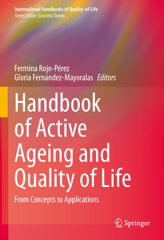**International Handbooks of Quality-of-Life** *Series Editor:* Graciela Tonon

# Fermina Rojo-Pérez GloriaFernández-Mayoralas *Editors*

Handbook of Active Ageing and Quality of Life

From Concepts to Applications

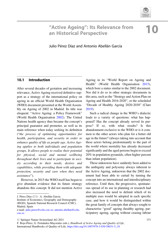

# "Active Ageing": Its Relevance from an Historical Perspective 10

Julio Pérez Díaz and Antonio Abellán García

# 10.1 Introduction

After several decades of gestation and increasing relevance, Active Ageing received definitive support as a strategy of the international policy on ageing in an official World Health Organisation (WHO) document presented at the World Assembly on Ageing of 2002 in Madrid. Its title was eloquent: "Active Ageing: a Policy Framework" (World Health Organisation [2002\)](#page--1-0). The United Nations health agency thus became the concept's principal guarantor and promoter, as well as its main reference when today seeking its definition ("the process of optimising opportunities for health, participation, and security in order to enhance quality of life as people age. Active Ageing applies to both individuals and population groups. It allows people to realise their potential for physical, social and mental wellbeing throughout their lives and to participate in society according to their needs, desires and capabilities, while providing them with adequate protection, security and care when they need assistance").

However, in 2015 the WHO itself has begun to give abundant evidence that its future strategy abandons this concept. It did not mention Active

J. Pérez Díaz (⊠) · A. Abellán García

Institute of Economics, Geography and Demography (IEGD), Spanish National Research Council (CSIC), Madrid, Spain

Ageing in its "World Report on Ageing and Health" (World Health Organisation [2015\)](#page--1-1), which bore a status similar to the 2002 document. Nor did it do so in other strategic documents in this area, such as the "Strategy and Action Plan on Ageing and Health 2016-2020", or the scheduled "Decade of Healthy Ageing 2020-2030" (Clare [2019\)](#page--1-2).

Such a radical change in the WHO's dialectic leads to a variety of questions: what has happened? Has the concept already served its purpose? If so, with what results? Is this abandonment exclusive to the WHO or is it common to the other actors who plan for a better old age in the future? (always taking into account that these actors belong predominantly to the part of the world where mortality has already decreased significantly and the aged persons begin to exceed 20% in population pyramids, often higher percent than infant population).

These unknowns have suddenly been added to the ambiguity and polysemy always inherent to the Active Ageing, unknowns that the 2002 document had been able to curtail by turning the concept into an international and interdisciplinary reference. Until then, the progressive, spontaneous spread of its use in planning or research had also increased the need to delimit which of its multiple uses would be adopted in each specific case, and how it would be distinguished within the great family of concepts that always sought to characterise "good" ageing (healthy ageing, participatory ageing, ageing without ceasing labour

e-mail: [julio.perez@cchs.csic.es](mailto:julio.perez@cchs.csic.es); [antonio.abellan@cchs.](mailto:antonio.abellan@cchs.csic.es) [csic.es](mailto:antonio.abellan@cchs.csic.es)

 $\circ$  Springer Nature Switzerland AG 2021

F. Rojo-Pérez, G. Fernández-Mayoralas (eds.), Handbook of Active Ageing and Quality of Life, International Handbooks of Quality-of-Life, [https://doi.org/10.1007/978-3-030-58031-5\\_10](https://doi.org/10.1007/978-3-030-58031-5_10#DOI)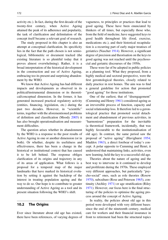activity etc.). In fact, during the first decade of the twenty-first century, when Active Ageing attained the peak of its adherence and popularity, the task of clarification and delimitation of the concept itself became a relevant goal of research.

The study proposed in this chapter is also an attempt at conceptual clarification. Its specificity lies in the fact that the path chosen is not semiological, bibliometric or document tracked (the existing literature is so plentiful today that it proves almost overwhelming). Rather, it is a broad interpretation of the historical development in the construction and use of Active Ageing, embracing too its present and surprising abandonment by the WHO.

We know that Active Ageing has had different impacts and developments as observed in its political/instrumental dimension or its theoretical/conceptual dimension. In the former, it has generated increased practical regulatory activity (entities, financing, legislation, etc.) during the past two decades. However, in "scientific" terms, together with the aforementioned problems of definition and classification (Moody [2005](#page--1-3)) it has also brought operationalisation and measurement difficulties.

The question arises whether its abandonment by the WHO is a response to the poor results of Active Ageing in one or another dimension (or in both). Or whether, despite its usefulness and effectiveness, there has been a change in the historical or institutional context that has caused it to be left behind. The response obliges clarification of its origins and trajectory in any of its areas of application. What follows is a proposal for a temporal map of the major landmarks that have marked its historical evolution by setting it against the backdrop of the interest in treating population ageing and the way to do so. Our hope is to contribute to greater understanding of Active Ageing as a tool and its present situation following the WHO's shift.

#### 10.2 The Origins

Ever since literature about old age has existed, there have been references, of varying degrees of

vagueness, to principles or practices that lead to good ageing. These have been enunciated by thinkers of all times, but especially those who, from the field of medicine, have suggested keys to good health throughout life (food, exercise, medications etc.), and their historical recapitulation is a recurring part of early major treatises of geriatrics (Nascher [1914](#page--1-4)). However, a significant degree of precision and theorisation on the keys to good ageing was not reached until the psychosocial and geriatric discourses of the 1950s.

These were far of be adopted in public policies as a planning tool. What they proposed, from a highly medical and sectoral perspective, were the first gerontological theories, closely related to daily practice in rest homes. The aim was to find a general guideline for action that promoted "good ageing" for those institutions.

One of the earliest, that of "disengagement" (Cumming and Henry [1961](#page--1-5)) considered ageing as an irreversible process of function, capacity and social relationship loss. It therefore led to a gerontological practice that promoted social detachment and abandonment of previous activities, in "harmonious" preparation for the inevitable (a theoretical framework, incidentally, that was highly favourable to the institutionalisation of old age). In contrast, the same period saw the proposal of "active ageing" (Havighurst [1954;](#page--1-6) Maddox [1963](#page--1-7)), a direct forebear of today's concept. A polar opposite to Cumming and Henri, it understood that maintaining links, activities, even new learning, held the key to a successful old age.

Theories about the nature of ageing and the best way to intervene in it continued to develop and proliferate during the 1970s. These employed very different approaches, but particularly "psycho-social" ones, such as role theories (Rosow [1970\)](#page--1-8), subculture (Rose and Peterson [1965\)](#page--1-9), continuity (Atchley [1971\)](#page--1-10) or age stratification (Riley [1971\)](#page--1-11). However, our focus here is the final structuring of the policies to optimise the ageing process around the concept of Active Ageing.

In reality, the policies about old age in this period were developed with very different bases: since the end of the nineteenth century, medical care for workers and their financial insurance in front to retirement had been the structural topics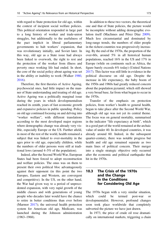with regard to State protection for old age, within the context of incipient social welfare policies. This political orientation responded in large part to a long history of worker and trade-union struggles, but additionally to the usefulness of the pact implicit in liberal parliamentary governments to halt workers' expansion, that was revolutionary initially, and Soviet later. In this way, old age as a State issue had always been linked to overwork, the right to rest and the protection of the worker from illness and poverty once working life had ended. In short, the core of the social policy about ageing was set in the ability or inability to work (Walker [1980](#page--1-12), [2016\)](#page--1-13).

Therefore, the first theories of Active Ageing, psychosocial ones, had little impact on the manner of State understanding and treating of old age. Active Ageing was a politically marginal issue during the years in which developmentalism reached its zenith, years of fast economic growth and expansive policies in public spending. Policy on old age continued focusing on and delving into "worker welfare", with different translations according to the most developed major regions where demographic change was already very visible, especially Europe or the US. Further afield, in most of the rest of the world, health remained a subject that was linked to over-mortality in the ages prior to old age, especially children, while the numbers of older persons were still at traditional lows (around 4–5% of the population).

Indeed, after the Second World War, European States had been forced to adopt reconstruction and welfare policies. The onus was on them to present their own political bloc advantageously against their opponent (in this point the two Europes, Eastern and Western, are convergent and competitive). In the US, on the other hand, the War had given way to a period of unprecedented expansion, with very rapid growth of the middle classes and with generations of young people who decades later would have the chance to retire in better conditions than ever before (Marmor [2017\)](#page--1-14); the universal health protection system for American old age, Medicare, was launched during the Johnson administration (1963–1968).

In addition to these two vectors, the theoretical one and that of State policies, the picture would be incomplete without adding demographic evolution itself (MacInnes and Pérez Díaz [2009\)](#page--1-15). Much less circumstantial and dominated by long-range trends, the numbers of older people in the richest countries was progressively increasing. By the end of the 1970s, the proportion of the over-60s, around 5% in all historical human populations, reached 16% in the US and 17% in Europe (while on continents such as Africa, the figure barely exceeds 6% today) (United Nations [2017\)](#page--1-16). This factor was still little in evidence in the political discourse on old age. Despite the increase in life expectancy, the baby boom of the 1950s and 1960s had greatly reduced concern about the population pyramid, which still showed a very broad base, far from what began to occur in the 1970s.

Transfer of the emphasis on protection policies, from worker's health to general health, began to take place after the Second World War, although old age was not yet its central theme. The focus was on general mortality, summarised in the indicator "life expectancy at birth", which in a good part of the world remained at the archaic value of under 40. In developed countries, it was already around 60. Indeed, in the subsequent quarter-century, there was notable progress but health and old age remained separate as two main lines of political concern. Their merger into a single strategic objective only occurred after the economic and political earthquake that hit in the 1970s.

# 10.3 The Crisis of the 1970s and the Change in the Conditions for Considering Old Age

The 1970s began with a very similar situation, which could be termed post-war developmentalist. However, profound changes soon took place worldwide that completely subverted the picture we have just drawn.

In 1973, the price of crude oil rose dramatically on international markets, triggering a chain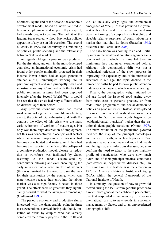of effects. By the end of the decade, the economic development model, based on industrial production and employment, and supported by cheap oil, had already begun to decline. The deficit of the leading States soared, without Keynesian policies appearing of any use on this occasion. The second oil crisis, in 1979, led definitively to a rethinking of policies, public spending and the relationship between State and market.

As regards old age, a paradox was produced. For the first time, and only in the most developed countries, an international economic crisis had found older people minimally protected in their income. Never before had an aged generation attained a full, uninterrupted working life, in paid employment and in a principally urban and industrial economy. Combined with the fact that public retirement systems had been deployed intensely after the Second World War, it would be seen that this crisis had very different effects on different ages than before.

Any previous economic crisis had forced workers to prolong their working life indefinitely, even to the point of total exhaustion and death. By contrast, the effect of this crisis was the mass early retirement of workers of mature age. Not only was there huge destruction of employment, but this was concentrated in occupational sectors where increasing proportions of workers had become consolidated and mature, until they had become the majority. In the face of the collapse of a complete production model, closure or reduction in workforce was facilitated by States resorting to the funds accumulated by contributors, allowing and even encouraging the early retirement of a large number of workers (this was justified by the need to pave the way for their substitution by the young, which was mere rhetoric because their entry into the labour market was also significantly blocked in those years). The effects were so great that they significantly brought forward the average retirement age (Guillemard [1993\)](#page--1-17).

The period's economic and productive slump interacted with the demographic point in time: mass generational survival during adulthood, limitation of births by couples who had already completed their family projects in the 1960s and

70s, at unusually early ages, the commercial emergence of "the pill" that provided the youngest with a cheap and effective method to dissociate the forming of a couple from a first child and sizeable relative surpluses of youth labour in a market that had shut its doors (Easterlin [1968;](#page--1-18) MacInnes and Pérez Díaz [2008\)](#page--1-19).

The baby boom was coming to an end. Fertility rates in the wealthiest countries again began a downward path, which this time led them to minimums they had never experienced before. Although this demographic drift was not a mechanical reflection of the slow progress in improving life expectancy and of the increase of survivors in old age, the rapid decline in the number of births helped to draw public attention to demographic ageing, which was accelerating.

Finally, the demographic weight attained by old age forced the issue of good ageing away from strict care or geriatric practice, or from trade union programmes and social democratic policies on good retirement. Instead, it was placed in a much more general medical and social perspective. In fact, the watchwords began to be "epidemiological transition", rather than the traditional "demographic transition" (Omran [1977\)](#page--1-20). The mere evolution of the population pyramid modified the map of the principal pathologies and causes of death, or of health policies. Care systems created around maternal and child health and the fight against infectious diseases, began to confront the need to adapt to the new majority profile of beneficiaries, who were now much older, and of their principal medical conditions (cardiovascular, degenerative diseases etc.). In this evolution, a milestone was the creation in 1975 of America's National Institute of Aging (NIA), within the general framework of the National Institute of Health.

In summary, the question of how to grow old moved during the 1970s from geriatric practice to a much more general medical-health perspective, one that responded simultaneously to a serious international crisis, to new trends in economic management by States, and to an unprecedented demographic shift.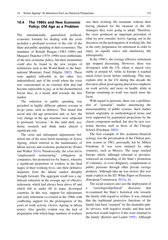# 10.4 The 1980s and New Economic Policy: Old Age as a Problem

The internationally generalised politicaleconomic formula for dealing with the crisis included a profound revision of the role of the State and public spending in their economies. The mandates of Ronald Reagan (1981–1989) and Margaret Thatcher (1979–1990) were emblematic of the new economic policy, but their momentum could also be found in the new recipes of institutions such as the World Bank or the International Monetary Fund (Stiglitz [2002](#page--1-6)). These were applied inflexibly in the other, less industrialised, part of the world where the crisis was concentrated in an external debt that had become impossible to pay, or in the dismembered Soviet bloc, in a brutal shift towards the free market.

The reduction in public spending was preached in highly different spheres (except in no-go areas, such as defence). This meant that social and old age protection and, in fact, the very change in the age structure were subjected to profound "revision." In this tidal shift, academic research and think tanks played a significant role.

The crisis and subsequent adjustments bolstered one of the most literal meanings of Active Ageing, which referred to the maintenance of labour activity and economic productivity (Foster and Walker [2014](#page--1-21)). Paradoxically, the crisis led to "employment restructuring" (obligatory in companies, but promoted too by States), whereby a significant proportion of workers in the final stages of their working lives, saw their definitive departure from the labour market abruptly brought forward. The aggregate result was a significant reduction in the average age of effective retirement, which had always been above 65 and which fell to under 60 in many developed countries. In this way, support for adjustments and early retirement co-existed in the 1980s with conflicting support for the prolongation of the years of work activity (Active Ageing in labour terms). Also quickly evident was the lack of preparation with which huge numbers of workers saw their working life terminate without their having planned for the moment or the life strategies they were going to adopt. Therefore, the crisis produced an important precedent of what we now consider Active Ageing; not in the discourse on the prolongation of working life, but in the early preparation for retirement in order to enjoy an equally active and satisfactory life subsequently.

In the 1990's, the average effective retirement age stopped decreasing. However, there was divergence with the US, where it stayed very stable at around 65, while in Europe it reached much lower levels before stabilising. This may explain why in the US during this decade the discourse about good ageing placed less emphasis on work activity and more on health, while in Europe remaining in work was much more the focus.

With regard to pensions, there was a proliferation of "actuarial" studies announcing the unsustainability of public systems. Such studies lacked originality in methodological terms and were supported by population projections by the classic component method, but also by new economic theories such as those of the Chicago School (Friedman [2002](#page--1-22)).

The best example of this academic-financial synergy was the privatisation of the Chilean pension system in 1981, personally led by Milton Friedman. It was soon imitated by other countries, such as Mexico. The surge reached Europe which, although reluctant to privatise, witnessed an extending of the State's promotion of voluntary, or even obligatory, complements to public pensions through other private savings products. Although take-up was slower, this was made explicit in the EU White Paper on Pensions (European Commission [2012a](#page--1-23), [b](#page--1-24)).

The social sciences also saw the deployment of a "sociological/political" discourse that re-examined the State's historical role towards the family with regard to welfare. It was claimed that the traditional protective functions of the family had been "usurped" by the insatiable public services, with negative results, and that such protection would improve if this were returned to the family (Kertzet and Laslett [1995\)](#page--1-25). Although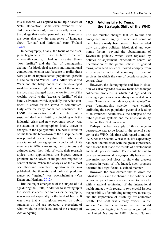this discourse was applied to multiple facets of State intervention (some even extended it to children's education), it was especially geared to the old age that needed personal care. These were the years that saw the emergence of language about "formal" and "informal" care (Froland [1980\)](#page--1-26).

In demography, finally, the focus of the discipline began to shift. Since its birth in the late nineteenth century, it had as its central theme "low fertility" and the fear of demographic decline (for ideological reasons and international competition, even in war, because in reality these were years of unprecedented population growth) (Teitelbaum and Winter [1985](#page--1-27)). After two World Wars and the baby boom that the developed world experienced right at the end of the second, the focus had changed from the low fertility of the wealthy world to the "excessive fertility" of the barely advanced world, especially the Asian continent, a vector for the spread of communism. Only after the baby boom had concluded, the USSR decomposition and the return of a sustained decline in fertility, coinciding with the industrial crisis and new economic policy, was the attention of demographers finally drawn to changes in the age pyramid. The best illustration of this thematic breakdown of the discipline itself was provided by a survey that IUSSP (the world association of demographers) conducted of its members in 2009, canvassing their opinions and attitudes about their field of work, their research topics, their applications, the biggest current problems to be solved or the policies required to confront them. When the analysis of the almost one thousand completed questionnaires was published, the thematic and political predominance of "ageing" was overwhelming (Van Dalen and Henkens [2012](#page--1-28)).

But the major emergence of the subject of old age during the 1980s, in addition to showing up in the social sciences, economics or demography, was observed especially in the field of health. It was there that a first global review on public strategies on old age appeared, a precedent of what would be articulated around the concept of Active Ageing.

# 10.5 Adding Life to Years, the Strategic Shift of the WHO

The accumulated changes that led to this first emergence were highly diverse and some of them have already been stated. They included truly disruptive political, ideological and economic factors, beyond the abandonment of Keynesian policies, which were replaced by policies of adjustment, expenditure control or liberalisation of the public sphere. In general terms, advanced societies moved abruptly from a principally industrial economy to one of services, in which the care of people occupied a central place.

However, the demographic and health situation was also regarded as a key focus of the major collective problems in which old age and its growing significance was always indicated as a threat. Terms such as "demographic winter" or even "demographic suicide" were coined, attributing the new population pyramid as leading to an imminent health crisis, the collapse of the public pension systems and the unsustainability of the Welfare State in general.

Perhaps the best example of this change in perspective was to be found in the general strategy of the WHO, this time with regard to mortality. Since the Second World War, life expectancy had been the indicator with the greatest presence, and the one that made the results of development and health policies visible. There could be said to be a real international race, especially between the two major political blocs, to show the greatest progress in years of life. Indeed, such progress occurred in a significant, sustained manner.

However, the new climate that followed the industrial crisis and the change in the political and economic paradigm coincided symptomatically with a radical rethinking of the international health strategy with regard to two crucial issues: the possibility of continuing to improve mortality, and the importance of disability for collective health. This shift was already evident in the Action Plan that arose from the First World Assembly on Ageing in Vienna, organised by the United Nations in 1982 (United Nations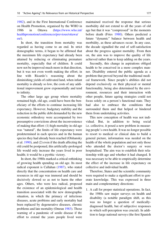[1982\)](#page--1-29), and in the First International Conference on Health Promotion, organised by the WHO in 1986 in Ottawa [\(https://www.who.int/](https://www.who.int/healthpromotion/conferences/previous/ottawa/en/) [healthpromotion/conferences/previous/ottawa/](https://www.who.int/healthpromotion/conferences/previous/ottawa/en/) [en/](https://www.who.int/healthpromotion/conferences/previous/ottawa/en/)).

In short, the transition from mortality was regarded as having come to an end. In strict demographic terms, it began to be affirmed that the maximum life expectancy had already been attained by reducing or eliminating premature mortality, especially that of children. It could now not be improved much more in that direction, but it was not even worth making the effort; in line with Ricardo's reasoning about the diminishing yields of cultivated land, when infant mortality is already so low, the costs of any additional improvement grow exponentially and tend to infinity.

The other large age group where mortality remained high, old age, could have been the beneficiary of the efforts to continue increasing life expectancy. However, budgetary stability and the reduction in the public debt demanded by the new economic orthodoxy were accompanied by two presumptive convictions about the inconvenience of making that effort: (1) high mortality in old age was "natural", the limits of life expectancy were predetermined in each species and in the human species they had already been reached (Olshansky et al. [1990](#page--1-30)), and (2) even if the death affecting the old could be postponed, this artificially-prolonged life would only increase the years lived in poor health; it would be a pyrrhic victory.

In short, the 1980s marked a critical rethinking of growing health spending on old age. Its most radical exponent is Callahan ([1987](#page--1-31)), who stated directly that the concentration on health care and resources in old age was immoral and should be decisively slowed so as not to harm the other ages. Others, who were less radical, proposed the existence of an epidemiological and health transition associated with the new demographic situation, in which the primacy of infectious diseases, acute problems and early mortality had been replaced by degenerative diseases, chronic problems and late mortality (Omran [1983](#page--1-17)). Those warning of a pandemic of senile disease if the effort to extend the years people lived were maintained received the response that serious morbidity did not extend to all the years of old age but that it was "compressed" in the moments before death (Fries [1980\)](#page--1-32). Others predicted a future "dynamic" balance between health and morbidity, as these advances occur. In any case, the decade signalled the end of self-satisfaction about the progress against mortality. From then on, the aim was to improve the quality of life achieved rather than to keep adding on the years.

Secondly, this change in aspirations obliged health to be conceived in a more complex manner. Disability entered the public agenda as a problem that proved beyond the traditional medical framework. Since people's abilities did not depend exclusively on their physical or mental functionality, being also determined by the environment, resources and their interaction with other people, future ageing strategies could not focus solely on a person's functional state. They had also to embrace the conditions that surrounded them and that helped or hindered them from undertaking activities.

This new conception of health was not individual. But, in addition to being social i.e. collective, it posed a new problem in measuring people's own health. It was no longer possible to resort to medical or clinical data to build a general picture, information was needed on the health of the whole population and not only those who attended the doctor's surgery or were hospitalised. The aim was to establish their relationship with age and whether it had changed. It was necessary to be able to empirically determine the effect of the increase in life expectancy on collective and individual health.

Therefore, States and the scientific community were required to make a significant effort to generate knowledge. This was expressed in three main and complementary directions:

1. A call for proper statistical operations. In fact, the 1980s saw major surveys on health and disability (a notable paradigm shift, as this was no longer a question of medicallydiagnosed health, but of subjective responses in which self-perception was crucial). In addition to large national surveys (the first Spanish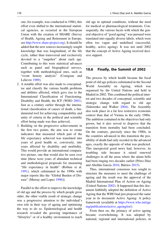one, for example, was conducted in 1986), this effort even shifted to the international statistical agencies, as occurred in the European Union with the creation of SHARE (Survey of Health, Ageing and Retirement in Europe, see <http://www.share-project.org>). It should be added that the new sources increasingly sought knowledge that was longitudinal, of the life cycle, rather than transversal and exclusively devoted to a "snapshot" about each age. Contributing to this were statistical advances such as panel and biographical surveys, together with methodological ones, such as "event history analysis" (Courgeau and Lelievre [1989](#page--1-33)).

- 2. A notable effort was also made to conceptualise and classify the various health problems and abilities affected, which gave rise to the International Classification of Functioning, Disability and Health, the ICF (WHO [2001\)](#page--1-6). Just as a century earlier through the international classification of causes of death, a fundamental tool for achieving comparability and unity of criteria in the political and scientific effort being made was thus achieved,
- 3. Building on the progressive achievements in the first two points, the aim was to create indicators that measured which part of the life expectancy achieved was translated into years of good health or, conversely, into years affected by disability and morbidity. This would provide an international comparative picture, one that would also be seen over time [these were years of abundant technical and methodological proposals for measuring "life expectancy in health" (Robine et al. [1991\)](#page--1-28), which culminated in the 1990s with major reports like the "Global Burden of Disease" (Murray and Lopez [1996](#page--1-34))].

Parallel to the effort to improve the knowledge of old age and the process by which people grow older, the other visible result of strategic change was a progressive attention to the individual's own role in their way of ageing and optimising the way to do so. Epidemiological and health research revealed the growing importance of "lifestyles" or of a healthy environment to reach old age in optimal conditions, without the need for medical or pharmacological treatments. Consequently, the various facets with which the general objective of "good ageing" was pursued were translated into equally diverse labels, which were often too vague and undefined (successful, healthy, active ageing). It was not until 2002 that the concept of Active Ageing received decisive support.

#### 10.6 Finally, the Summit of 2002

The process by which health became the focal point of old age policies culminated in the Second World Assembly on Ageing, which was organised by the United Nations and held in Madrid in 2002. This combined the political interest and two decades of conceptual, scientific and strategic change with regard to old age (Sidorenko and Walker [2004\)](#page--1-17). The Assembly also took place in a far less restrictive economic context than that of Vienna in the early 1980s. The ambition contained in the objectives had only grown, but it also served to disprove that the transition from mortality had been concluded. On the contrary, precisely since the 1980s, in the countries advanced in this transition the possibility of death had only receded in the advanced ages, exactly the opposite of what was predicted. This unexpected good news had, however, its troubling side because it raised renewed challenges in all the areas where the alarm bells had been ringing two decades earlier (Pérez Díaz and Abellán García [2016](#page--1-29); Bárrios [2015](#page--1-35)).

Thus, international consensus was sought to structure the measures to meet the challenge of ageing and the result was the approval of the Madrid International Plan of Action on Ageing (United Nations [2002](#page--1-36)). It happened that this document faithfully adopted the definition of Active Ageing that the WHO had just proposed the same year in its document Active Ageing: A policy framework (available at [https://www.who.int/age](https://www.who.int/ageing/publications/active_ageing/en/) [ing/publications/active\\_ageing/en/](https://www.who.int/ageing/publications/active_ageing/en/)).

From then on, the primacy of active ageing became overwhelming. It was adopted by national, regional and international policies, in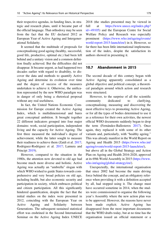their respective agendas, in funding lines, in strategic and research plans, until it became part of the official language. That orthodoxy may be seen from the fact that the EU declared 2012 as European Year of Active Ageing and Intergenerational Solidarity.

It seemed that the multitude of proposals for conceptualising good ageing (healthy, successful, good life, productive, optimal etc.) had been left behind and a unitary vision and a common definition finally achieved. But the difficulties did not disappear. It became urgent, as had happened two decades earlier with regard to disability, to discover the data and methods to quantify Active Ageing and determine its evolution over time and the degree of success of the measures undertaken to achieve it. Otherwise, the unification represented by the new WHO paradigm was in danger of only being a rhetorical proposal without any real usefulness.

In fact, the United Nations Economic Commission for Europe created the Active Ageing Index, which is multidimensional and bares great conceptual ambition. It brought together 22 different indicators grouped into four major domains: work, social participation, independent living and the capacity for Active Ageing. The first three measured the individual's degree of achievement, while the latter sought to measure their readiness to achieve them (Zaidi et al. [2017;](#page--1-14) Rodriguez-Rodriguez et al. [2017;](#page--1-37) Lamura and Principi [2019\)](#page--1-11).

However, compared to the situation in the 1980s, the attention now devoted to old age had become much more diverse and holistic. Active Ageing was actually an "umbrella" slogan with which WHO wished to guide States towards comprehensive and very broad policies on old age, including health, but also economic security and participation in society, which embraces political and citizen participation. All this significantly hindered quantification, despite the fact that the initial studies on the index were presented in 2012, coinciding with the European Year on Active Ageing and Solidarity between Generations. The subsequent sustained statistical effort was enshrined in the Second International Seminar on the Active Ageing Index UNECE 2018 (the studies presented may be viewed in full at [https://www.unece.org/index.php?](https://www.unece.org/index.php?id=49105)  $id=49105$  $id=49105$  $id=49105$ ) and the European Centre for Social Welfare Policy and Research was especially prominent [\(https://www.who.int/ageing/events/](https://www.who.int/ageing/events/world-report-2015-launch/en/) [world-report-2015-launch/en/](https://www.who.int/ageing/events/world-report-2015-launch/en/)) in it. However, so far there has been little international implementation of the index, despite the satisfaction its authors showed in presenting it.

#### 10.7 Abandonment in 2015

The second decade of this century began with Active Ageing apparently consolidated as a global objective and political concept, a theoretical paradigm around which action and research were structured.

However, to the surprise of all the scientific community dedicated to clarifying, conceptualising, measuring and discovering the most effective keys to promoting Active Ageing, or for all the types of bodies determined to use it as a reference for their own activities, the newest official WHO documents suddenly began to drop the term (Fernández-Ballesteros [2017](#page--1-38)). Once again, they replaced it with some of its other variants and, particularly, with "healthy ageing." This was already manifest in the World Report on Ageing and Health 2015 [\(https://www.who.int/](https://www.who.int/ageing/events/world-report-2015-launch/en/) [ageing/events/world-report-2015-launch/en/](https://www.who.int/ageing/events/world-report-2015-launch/en/)),

but above all in the Global Strategy and Action Plan on Ageing and Health 2016-2020, approved at its 69th World Assembly in 2015 [\(https://www.](https://www.who.int/ageing/global-strategy/en/) [who.int/ageing/global-strategy/en/\)](https://www.who.int/ageing/global-strategy/en/).

Unexpectedly, the international organisation that since 2002 had become the main driving force behind the concept, and an obligatory reference when providing it with a definition accepted by all, had stopped using it. The change must have occurred sometime in 2014, when the studies were commissioned to organise the following year's Assembly where the new action plan was to be approved. However, the reasons have never been made explicit. Active Ageing has disappeared from the most important documents that the WHO drafts today, but at no time has the organisation issued an official statement or a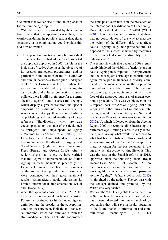document that we can use to find an explanation for the term being dropped.

With the perspective provided by the cumulative silence that has appeared since then, it is worth considering the possible reasons that, either separately or in combination, could explain this odd turn of events:

- The apparent international unity hid important differences. Europe had adopted and promoted the approach approved in 2002 (visible in the inclusion of Active Ageing as the objective of its research framework programmes, and in particular in the creation of the FUTURAGE and similar networks) (Rodríguez Rodríguez et al. [2012](#page--1-39)). However, in the US, where the medical and hospital industry carries significant weight and a lesser connection to State policies, there is still a preference for the terms "healthy ageing" and "successful ageing", which display a greater tradition and special emphasis on individual achievements. In American gerontology, there is a long tradition of publishing and revised re-editing of large reference "Handbooks", which are true encyclopaedias on the state of the field, such as Springer's The Encyclopedia of Aging: 2-Volume Set: (Noelker et al. [2006\)](#page--1-40), The Encyclopedia of Aging (Maddox [2013](#page--1-41)), or the monumental Handbook of Aging and Social Sciences (eighth edition) of Academic Press (Ferraro and George [2015\)](#page--1-42). After a review of the main ones, we have verified that the degree of implementation of Active Ageing in these manuals is practically nil. Even the Futurage researchers, the promoters of the Active Ageing Index and those who were convinced of their good analytical results, systematically avoid addressing its limited international implementation (Zaidi and Howse [2017](#page--1-41)).
- After the apparent consensus after 2002, the truth is that operational problems persisted. Polysemy continued to hinder unambiguous definition and the breadth of the concept hindered its measurement. Holistic and transversal ambition, which had removed it from the strict medical and health field, did not produce

the same positive results as in the precedent of the International Classification of Functioning, Disability and Health, the ICF-2001 (WHO [2001\)](#page--1-6). It is therefore unsurprising that there was no consolidation of the way to measure the weight of the different risks that affect Active Ageing (e.g. non-participation), as opposed to the success achieved by measures of the risk of disease or disability (Pérez Salanova [2016\)](#page--1-43).

- The economic crisis that began in 2008 significantly hindered the viability of action plans on Active Ageing in Europe too. Unemployment and the consequent shrinkage in contributions again made public finances a priority compared to the mere change in the population pyramid and the needs it raised. The issue of pensions again gained in uncertainty in the face of the approved purposes of greater economic protection. This was visible even in the European Year for Active Ageing, 2012, in keeping with the European Commission publishing a White Paper on Adequate, Safe and Sustainable Pensions (European Commission [2012a](#page--1-23), [b\)](#page--1-24), which followed on from the Ageing Report 2009 in recommending increasing the retirement age, limiting access to early retirement, and linking what would be received to what had been contributed. This consolidated a perverse use of the "active" concept as a literal synonym for the postponement in the age at which the active working life ends. This was the case in the Spanish reform of 2013, approved under the following label: "Royal Decree-Law 5/2013, of March 15, on measures to encourage the continuity of the working life of older workers and promote Active Ageing" (Jefatura del Estado [2013](#page--1-44)) (highlighted by the author). The contrast with the concept defined and promoted by the WHO was very visible.
- Without the WHO being able to anticipate it in 2002, much of the research work on old age has been diverted to new technology companies that will save in health spending in the future thanks to information and communication technologies (ICT). This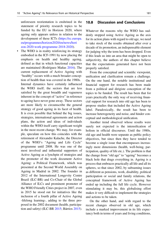unforeseen reorientation is enshrined in the statement of priority research topics to be funded by the EU in Horizon 2020, where ageing only appears unless in relation to the development of these ICTs ([https://ec.europa.](https://ec.europa.eu/programmes/horizon2020/en/news/horizon-2020-work-programme-2018-2020) [eu/programmes/horizon2020/en/news/hori](https://ec.europa.eu/programmes/horizon2020/en/news/horizon-2020-work-programme-2018-2020) [zon-2020-work-programme-2018-2020](https://ec.europa.eu/programmes/horizon2020/en/news/horizon-2020-work-programme-2018-2020)).

The WHO is in reality reinforcing its strategy embodied in the ICF-1991 by now placing the emphasis on health and healthy ageing, defined as that in which functional capacities are maintained (Rodríguez Mañas [2016](#page--1-45)). The current replacement of Active Ageing with "healthy" occurs with a much broader conception of health than was covered in the 1980s.

Internal dynamics have certainly influenced the WHO itself; the sectors that are less satisfied by the great breadth and vagueness inherent in the concept of "active" in reference to ageing have never gone away. These sectors are more likely to circumscribe the general strategy of good ageing in its facet of health. It is even possible that behind the big issues, strategies, international agreements and action plans, the action and ideas of individuals within the WHO itself carry significant weight in the most recent change. We may, for example, speculate on how this coincides with the retirement of Alexandre Kalache, the Director of the WHO's "Ageing and Life Cycle" programme until 2008. He was one of the most involved and influential supporters of Active Ageing as a lynchpin of strategies and the promoter of the work document Active Ageing: a Political Framework, which was presented at the Second World Assembly on Ageing in Madrid in 2002. The founder in 2012 of the International Longevity Centre Brazil (ILC-BR) and Co-Chair of the Global Alliance of ILCs and prominent promoter of the WHO Friendly Cities project in 2007, even in 2015 he stood out for initiatives like the inclusion of a fourth pillar of Active Ageing -lifelong learning-, adding to the three proposed in the 2002 document (health, participation and safety) (ILC-BR [2015](#page--1-46); Bárrios [2015\)](#page--1-35).

#### 10.8 Discussion and Conclusions

Whatever the reasons why the WHO has suddenly stopped using Active Ageing as the axis for its action plans with regard to old age, we need to take stock of the results obtained after over a decade of its promotion, an indispensable element for judging why the term has been dropped. Even if this leads us into an area that might be open to subjectivity, the authors of this chapter believe that the expectations generated have not been properly satisfied.

From the conceptual and scientific viewpoint, unification and clarification remain a challenge. On the one hand, the notable institutional and financial support for research has been made from a political and dirigiste conception of the topics to be funded. The result has been that for years practically the only way of receiving financial support for research into old age has been to propose studies that included the Active Ageing label. Paradoxically, the result has been to increase heterogeneity and noise, and hinder conceptual and methodological unification.

Another trend observed whose results were surely not expected is the intensification of holism in official discourses. Until the 1980s, old age and health were separate as public policy objectives, but since then they have tended to become a single issue that encompasses increasingly more dimensions (health, well-being, participation, quality of life etc.). The problem is that the change from "old age" to "ageing" becomes a black hole that drags everything in. Ageing is a process that embraces practically all life and all its spheres, so that since 2002, by subsuming issues as different as pensions, work, disability, political participation or social and family relations, the conceptual framework of Active Ageing has ended up including the full life cycle. However stimulating it may be, this globalising effort makes it very difficult to implement the strategies and actions to be taken.

On the other hand, and with regard to the recent changes observed in old age, which include a marked improvement in its life expectancy both in terms of years and living conditions,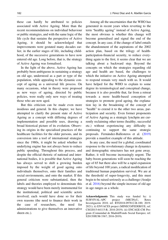these can hardly be attributed to policies associated with Active Ageing. More than the recent recommendations on individual behaviour or public strategies, and with the same logic of the life cycle that sustains the perspective of Active Ageing, it should be acknowledged that improvements were gestated many decades earlier, in the earlier stages of life, including childhood, of the successive generations to have now entered old age. Long before, that is, the strategy of Active Ageing was formalised.

In the light of the above, Active Ageing has probably been ambiguous in sustaining a strategy on old age, understood as a part or type of the population, while appealing to the dynamic concept of ageing as a universal life process. On many occasions, what in theory were proposed as new ways of ageing, directed by public policies, were really only new ways of treating those who are now aged.

But this criticism can be made even more insidious and general. In this chapter, we have attempted to clarify the present state of Active Ageing as a concept with differing degrees of implementation and possible uses, drawing a broad historical picture of its evolution. Observing its origins in the specialised practices of the healthcare facilities for the older persons, and its conversion into a tool of international strategies since the 1980s, it might be asked whether its underlying engine has not always been to reduce public spending. Throughout this process, and despite the official rhetoric of national and international bodies, it is possible that Active Ageing has always served to shift a growing burden imposed by the weight of good ageing onto individuals themselves, onto their families and social environments, and onto the market. If this general criticism were substantiated, then the labels and theories employed to denominate this strategy would have been merely instrumental for the institutional, political and scientific actors involved; each would have done so for their own reasons (the need to finance their work in the case of researchers, the need for administrations to give themselves an innovative sheen etc.).

Among all the uncertainties that the WHO has generated in recent years when reverting to the term "healthy ageing" instead of Active Ageing, the most obvious is whether this change will become generalised and signal the end of the concept. In any case, if the change of label entails the abandonment of the aspirations of the 2002 action plan, based on the trilogy of healthparticipation-financial security, to reduce everything again to the first, it seems clear that we are talking about a backward step. Beyond the concepts on which the strategies regarding old age and health are based, the challenges to which the initiative on Active Ageing attempted to respond remain very much with us. It would have helped for the WHO to explain to some degree its terminological and conceptual change, because it is also possible that, far from a retreat towards a more health-based conception of strategies to promote good ageing, the explanation lay in the broadening of the concept of "health" to extend it to the other two areas, participation and security. Even former proponents of Active Ageing as a strategic lynchpin are currently reclaiming other terms (healthy, successful etc.) without experiencing any difficulty in continuing to support the same strategic proposals. Fernández-Ballesteros et al. [\(2019](#page--1-47)) provide a manifest example of this attitude.

In any case, the need for a global, coordinated response to the revolutionary change in dynamics and demographic structures has not gone away. Rather, it will become increasingly urgent. The baby-boom generations will soon be reaching the age of 65 but there also will be a rapid expansion of life beyond 100 years, a radical modification of traditional human population survival. We are at the threshold of super-longevity, and this must begin to be raised seriously as a challenge (Araújo et al. [2016](#page--1-48)) beyond the simple increase of old age in age ranges as a whole.

Acknowledgments This study was funded by: i) SURVIVAL-APC project (MICINyU, Retos Investigación 2018; ref. RTI2018-097812-B-100; 2019- 2021); ii) ENVACES project (MINECO/FEDER/UE; ref. CSO2015-64115-R; 2016-2019); iii) ENCAGE-CM Program (Comunidad de Madrid/Fondo Social Europeo; ref. S2015/HUM-3367; 2016-2019).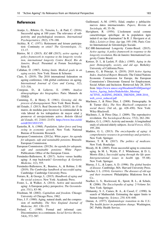#### References

- Araújo, L., Ribeiro, O., Teixeira, L., & Paúl, C. (2016). Successful aging at 100 years: The relevance of subjectivity and psychological resources. International Psychogeriatrics, 28(2), 179–188.
- Atchley, R. C. (1971). Retirement and leisure participation: Continuity or crisis? The Gerontologist, 11, 13–17.
- Bárrios, M. J. (2015). ILC-BR (2015), active ageing: A policy framework in response to the longevity revolution, international longevity Centre Brazil, Rio de Janeiro, Brazil. Presented at Forum Sociológico. Série II.
- Callahan, D. (1987). Setting limits. Medical goals in an aging society. New York: Simon & Schuster.
- Clare, S. (2019). The 2018 international federation on ageing conference, 14th global conference on ageing. International Journal of Care and Caring, 3(2), 313–316.
- Courgeau, D., & Lelievre, E. (1989). Analyse démographique des biographies. Paris: Manuels de l'INED.
- Cumming, E., & Henry, E. (1961). Growing old, the process of disengagement. New York: Basic Books.
- del Estado, J. (2013). Real Decreto-ley 5/2013, de 15 de marzo, de medidas para favorecer la continuidad de la vida laboral de los trabajadores de mayor edad y promover el envejecimiento activo. Boletín Oficial del Estado, 65, 21441–21474. [https://www.boe.es/eli/](https://www.boe.es/eli/es/rdl/2013/03/15/5) [es/rdl/2013/03/15/5.](https://www.boe.es/eli/es/rdl/2013/03/15/5)
- Easterlin, R. A. (1968). Population, labor force and long swing in economic growth. New York: National Bureau of Economic Research.
- European Commission. (2012a). White paper. An agenda for adequate, safe and sustainable pensions. Brussels: European Commission.
- European Commission. (2012b). An agenda for adequate, safe and sustainable pensions: White Paper: Publications Office of the European Union.
- Fernández-Ballesteros, R. (2017). Active versus healthy aging: A step backwards? Gerontology & Geriatric Medicine, 1(2), 555.
- Fernández-Ballesteros, R., Benetos, A., & Robine, J.-M. (2019). The Cambridge handbook of successful aging. Cambridge: Cambridge University Press.
- Ferraro, K., & George, L. (2015). Handbook of aging and the social sciences. New York: Academic Press.
- Foster, L., & Walker, A. (2014). Active and successful aging: A European policy perspective. The Gerontologist, 55(1), 83–90.
- Friedman, M. (2002). Capitalism and freedom. Chicago: University of Chicago Press, 1962.
- Fries, J. F. (1980). Aging, natural death, and the compression of morbidity. The New England Journal of Medecine, 303, 130–135.
- Froland, C. (1980). Formal and informal care: Discontinuities in a continuum. Social Service Review, 54(4), 572–587.
- Guillemard, A.-M. (1993). Edad, empleo y jubilación: nuevos datos internacionales. Papers, Revista de Sociología, 40, 35–56.
- Havighurst, R. (1954). L'isolement social comme caractéristique spécifique de la population âgée induit-il un tipe d'animation? In R. J. Havigurst et al. (Eds.), Loisirs et 3ème. âge (pp. 195–198). Paris: Centre International de Gérontologie Sociale.
- ILC-BR-International Longevity Centre-Brasil. (2015). Active ageing: A policy framework in response to the longevity revolution. Rio de Janeiro: International Longevity Centre Brazil.
- Kertzer, D. I., & Laslett, P. (Eds.). (1995). Aging in the past: Demography, society, and old age. Berkeley: University of California Press.
- Lamura, G., & Principi, A. (2019). 2018 Active Ageing Index. Analytical Report. Brussels: The United Nations Economic Commission for Europe, the European Commission's Directorate General for Employment, Social Affairs and Inclusion. Retrieved July 28, 2019, from https://www.unece.org/fi[leadmin/DAM/pau/age/](https://www.unece.org/fileadmin/DAM/pau/age/Active_Ageing_Index/Stakeholder_Meeting/ACTIVE_AGEING_INDEX_TRENDS_2008-2016_web_cover_reduced.pdf) [Active\\_Ageing\\_Index/Stakeholder\\_Meeting/](https://www.unece.org/fileadmin/DAM/pau/age/Active_Ageing_Index/Stakeholder_Meeting/ACTIVE_AGEING_INDEX_TRENDS_2008-2016_web_cover_reduced.pdf) [ACTIVE\\_AGEING\\_INDEX\\_TRENDS\\_2008-2016\\_](https://www.unece.org/fileadmin/DAM/pau/age/Active_Ageing_Index/Stakeholder_Meeting/ACTIVE_AGEING_INDEX_TRENDS_2008-2016_web_cover_reduced.pdf) [web\\_cover\\_reduced.pdf](https://www.unece.org/fileadmin/DAM/pau/age/Active_Ageing_Index/Stakeholder_Meeting/ACTIVE_AGEING_INDEX_TRENDS_2008-2016_web_cover_reduced.pdf)
- MacInnes, J., & Pérez Díaz, J. (2008). Demography. In B. Turner (Ed.), The New Blackwell companion to social theory (3rd ed., pp. 428–450). New York: Wiley-Blackwell.
- MacInnes, J., & Pérez Díaz, J. (2009). The reproductive revolution. The Sociological Review, 57(2), 262–284.
- Maddox, G. L. (1963). Activity and morale: A longitudinal study of selected elderly subjects. Social Forces, 42(2), 195–204.
- Maddox, G. L. (2013). The encyclopedia of aging: A comprehensive resource in gerontology and geriatrics. New York: Springer.
- Marmor, T. R. R. (2017). The politics of medicare. New York: Routledge.
- Moody, H. R. (2005). From successful aging to conscious aging. In M. L. Wykle, P. J. Whitehouse, & D. L. Morris (Eds.), Successful aging through the life span: Intergenerational issues in health (pp. 55–68). New York: Springer.
- Murray, J. L., & Lopez, A. D. (1996). The global burden of disease. Cambridge, MA: Harvard University Press.
- Nascher, I. L. (1914). Geriatrics: The diseases of old age and their treatment. Philadelphia: Blakistons Son & Co..
- Noelker, L. S., Rockwood, K., Sprott, R. L., & Schulz, R. (2006). The Encyclopedia of aging: 2-Volume Set. New York: Springer.
- Olshansky, S. J., Carnes, B. A., & Cassel, C. (1990). In search of Mathuselah: Estimating the upper limits to human longevity. Science, 250, 634–640.
- Omran, A. (1977). Epidemiologic transition in the U.S.: The health factor in population change. Washington, DC: Public Health Service.